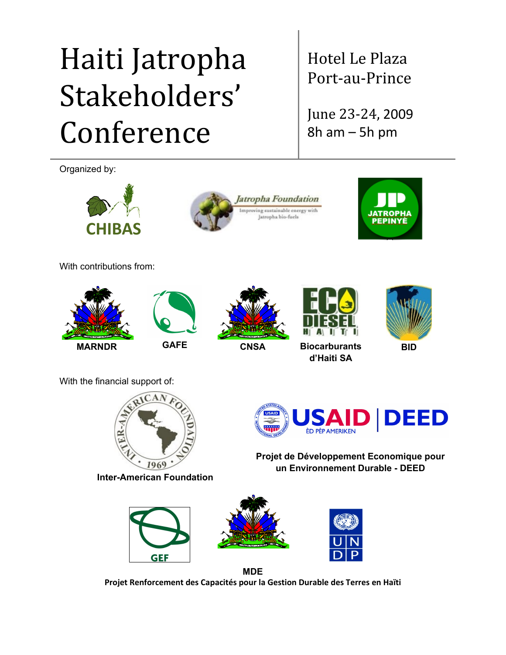# Haiti Jatropha Stakeholders' Conference

Organized by:







Hotel Le Plaza

Port-au-Prince

June 23-24, 2009

8h am – 5h pm

With contributions from:









**BID**

With the financial support of:



**Inter-American Foundation**

**D DEED** ÈD PÈP AMERIKEN

**Projet de Développement Economique pour un Environnement Durable - DEED**







**MDE Projet Renforcement des Capacités pour la Gestion Durable des Terres en Haïti**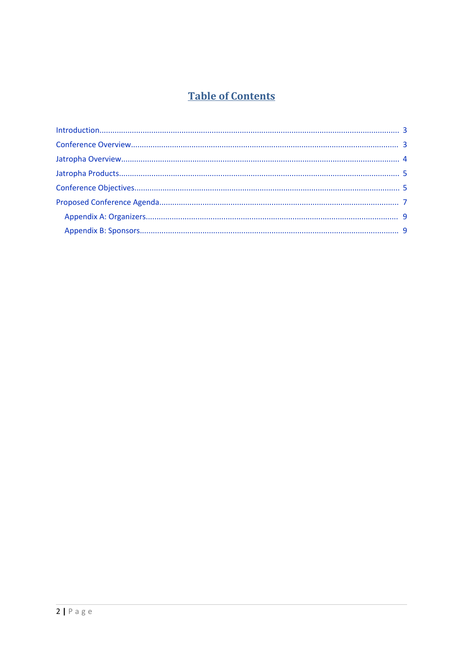## **Table of Contents**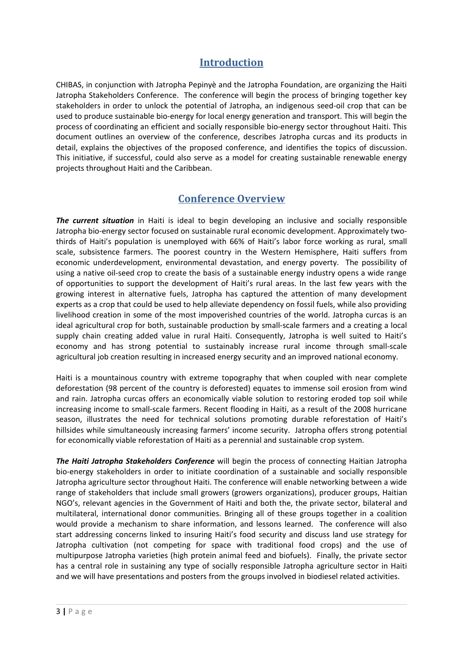## <span id="page-2-1"></span>**Introduction**

CHIBAS, in conjunction with Jatropha Pepinyè and the Jatropha Foundation, are organizing the Haiti Jatropha Stakeholders Conference. The conference will begin the process of bringing together key stakeholders in order to unlock the potential of Jatropha, an indigenous seed-oil crop that can be used to produce sustainable bio-energy for local energy generation and transport. This will begin the process of coordinating an efficient and socially responsible bio-energy sector throughout Haiti. This document outlines an overview of the conference, describes Jatropha curcas and its products in detail, explains the objectives of the proposed conference, and identifies the topics of discussion. This initiative, if successful, could also serve as a model for creating sustainable renewable energy projects throughout Haiti and the Caribbean.

## <span id="page-2-0"></span>**Conference Overview**

*The current situation* in Haiti is ideal to begin developing an inclusive and socially responsible Jatropha bio-energy sector focused on sustainable rural economic development. Approximately twothirds of Haiti's population is unemployed with 66% of Haiti's labor force working as rural, small scale, subsistence farmers. The poorest country in the Western Hemisphere, Haiti suffers from economic underdevelopment, environmental devastation, and energy poverty. The possibility of using a native oil-seed crop to create the basis of a sustainable energy industry opens a wide range of opportunities to support the development of Haiti's rural areas. In the last few years with the growing interest in alternative fuels, Jatropha has captured the attention of many development experts as a crop that could be used to help alleviate dependency on fossil fuels, while also providing livelihood creation in some of the most impoverished countries of the world. Jatropha curcas is an ideal agricultural crop for both, sustainable production by small-scale farmers and a creating a local supply chain creating added value in rural Haiti. Consequently, Jatropha is well suited to Haiti's economy and has strong potential to sustainably increase rural income through small-scale agricultural job creation resulting in increased energy security and an improved national economy.

Haiti is a mountainous country with extreme topography that when coupled with near complete deforestation (98 percent of the country is deforested) equates to immense soil erosion from wind and rain. Jatropha curcas offers an economically viable solution to restoring eroded top soil while increasing income to small-scale farmers. Recent flooding in Haiti, as a result of the 2008 hurricane season, illustrates the need for technical solutions promoting durable reforestation of Haiti's hillsides while simultaneously increasing farmers' income security. Jatropha offers strong potential for economically viable reforestation of Haiti as a perennial and sustainable crop system.

*The Haiti Jatropha Stakeholders Conference* will begin the process of connecting Haitian Jatropha bio-energy stakeholders in order to initiate coordination of a sustainable and socially responsible Jatropha agriculture sector throughout Haiti. The conference will enable networking between a wide range of stakeholders that include small growers (growers organizations), producer groups, Haitian NGO's, relevant agencies in the Government of Haiti and both the, the private sector, bilateral and multilateral, international donor communities. Bringing all of these groups together in a coalition would provide a mechanism to share information, and lessons learned. The conference will also start addressing concerns linked to insuring Haiti's food security and discuss land use strategy for Jatropha cultivation (not competing for space with traditional food crops) and the use of multipurpose Jatropha varieties (high protein animal feed and biofuels). Finally, the private sector has a central role in sustaining any type of socially responsible Jatropha agriculture sector in Haiti and we will have presentations and posters from the groups involved in biodiesel related activities.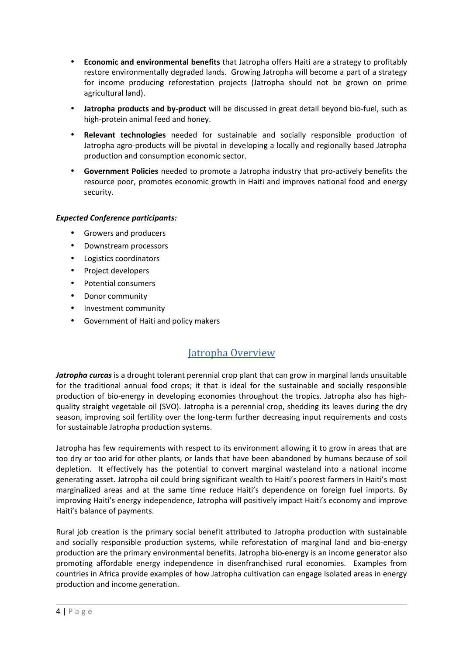- **Economic and environmental benefits** that Jatropha offers Haiti are a strategy to profitably restore environmentally degraded lands. Growing Jatropha will become a part of a strategy for income producing reforestation projects (Jatropha should not be grown on prime agricultural land).
- **Jatropha products and by-product** will be discussed in great detail beyond bio-fuel, such as high-protein animal feed and honey.
- **Relevant technologies** needed for sustainable and socially responsible production of Jatropha agro-products will be pivotal in developing a locally and regionally based Jatropha production and consumption economic sector.
- **Government Policies** needed to promote a Jatropha industry that pro-actively benefits the resource poor, promotes economic growth in Haiti and improves national food and energy security.

#### *Expected Conference participants:*

- Growers and producers
- Downstream processors
- Logistics coordinators
- Project developers
- Potential consumers
- Donor community
- Investment community
- Government of Haiti and policy makers

## <span id="page-3-0"></span>Jatropha Overview

*Jatropha curcas* is a drought tolerant perennial crop plant that can grow in marginal lands unsuitable for the traditional annual food crops; it that is ideal for the sustainable and socially responsible production of bio-energy in developing economies throughout the tropics. Jatropha also has highquality straight vegetable oil (SVO). Jatropha is a perennial crop, shedding its leaves during the dry season, improving soil fertility over the long-term further decreasing input requirements and costs for sustainable Jatropha production systems.

Jatropha has few requirements with respect to its environment allowing it to grow in areas that are too dry or too arid for other plants, or lands that have been abandoned by humans because of soil depletion. It effectively has the potential to convert marginal wasteland into a national income generating asset. Jatropha oil could bring significant wealth to Haiti's poorest farmers in Haiti's most marginalized areas and at the same time reduce Haiti's dependence on foreign fuel imports. By improving Haiti's energy independence, Jatropha will positively impact Haiti's economy and improve Haiti's balance of payments.

Rural job creation is the primary social benefit attributed to Jatropha production with sustainable and socially responsible production systems, while reforestation of marginal land and bio-energy production are the primary environmental benefits. Jatropha bio-energy is an income generator also promoting affordable energy independence in disenfranchised rural economies. Examples from countries in Africa provide examples of how Jatropha cultivation can engage isolated areas in energy production and income generation.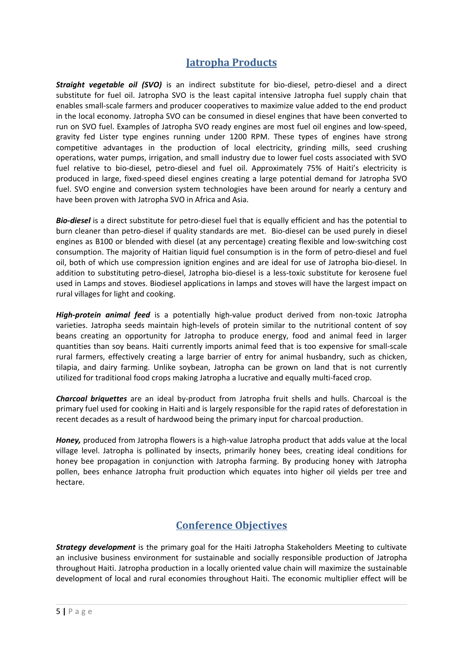## <span id="page-4-1"></span>**Jatropha Products**

*Straight vegetable oil (SVO)* is an indirect substitute for bio-diesel, petro-diesel and a direct substitute for fuel oil. Jatropha SVO is the least capital intensive Jatropha fuel supply chain that enables small-scale farmers and producer cooperatives to maximize value added to the end product in the local economy. Jatropha SVO can be consumed in diesel engines that have been converted to run on SVO fuel. Examples of Jatropha SVO ready engines are most fuel oil engines and low-speed, gravity fed Lister type engines running under 1200 RPM. These types of engines have strong competitive advantages in the production of local electricity, grinding mills, seed crushing operations, water pumps, irrigation, and small industry due to lower fuel costs associated with SVO fuel relative to bio-diesel, petro-diesel and fuel oil. Approximately 75% of Haiti's electricity is produced in large, fixed-speed diesel engines creating a large potential demand for Jatropha SVO fuel. SVO engine and conversion system technologies have been around for nearly a century and have been proven with Jatropha SVO in Africa and Asia.

*Bio-diesel* is a direct substitute for petro-diesel fuel that is equally efficient and has the potential to burn cleaner than petro-diesel if quality standards are met. Bio-diesel can be used purely in diesel engines as B100 or blended with diesel (at any percentage) creating flexible and low-switching cost consumption. The majority of Haitian liquid fuel consumption is in the form of petro-diesel and fuel oil, both of which use compression ignition engines and are ideal for use of Jatropha bio-diesel. In addition to substituting petro-diesel, Jatropha bio-diesel is a less-toxic substitute for kerosene fuel used in Lamps and stoves. Biodiesel applications in lamps and stoves will have the largest impact on rural villages for light and cooking.

*High-protein animal feed* is a potentially high-value product derived from non-toxic Jatropha varieties. Jatropha seeds maintain high-levels of protein similar to the nutritional content of soy beans creating an opportunity for Jatropha to produce energy, food and animal feed in larger quantities than soy beans. Haiti currently imports animal feed that is too expensive for small-scale rural farmers, effectively creating a large barrier of entry for animal husbandry, such as chicken, tilapia, and dairy farming. Unlike soybean, Jatropha can be grown on land that is not currently utilized for traditional food crops making Jatropha a lucrative and equally multi-faced crop.

*Charcoal briquettes* are an ideal by-product from Jatropha fruit shells and hulls. Charcoal is the primary fuel used for cooking in Haiti and is largely responsible for the rapid rates of deforestation in recent decades as a result of hardwood being the primary input for charcoal production.

*Honey,* produced from Jatropha flowers is a high-value Jatropha product that adds value at the local village level. Jatropha is pollinated by insects, primarily honey bees, creating ideal conditions for honey bee propagation in conjunction with Jatropha farming. By producing honey with Jatropha pollen, bees enhance Jatropha fruit production which equates into higher oil yields per tree and hectare.

## <span id="page-4-0"></span>**Conference Objectives**

*Strategy development* is the primary goal for the Haiti Jatropha Stakeholders Meeting to cultivate an inclusive business environment for sustainable and socially responsible production of Jatropha throughout Haiti. Jatropha production in a locally oriented value chain will maximize the sustainable development of local and rural economies throughout Haiti. The economic multiplier effect will be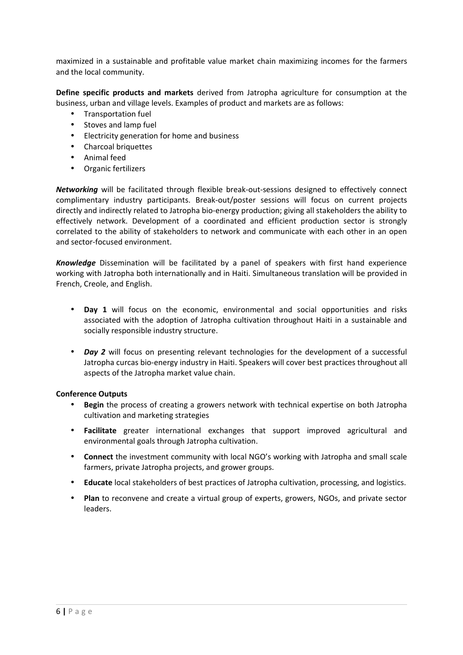maximized in a sustainable and profitable value market chain maximizing incomes for the farmers and the local community.

**Define specific products and markets** derived from Jatropha agriculture for consumption at the business, urban and village levels. Examples of product and markets are as follows:

- Transportation fuel
- Stoves and lamp fuel
- Electricity generation for home and business
- Charcoal briquettes
- Animal feed
- Organic fertilizers

*Networking* will be facilitated through flexible break-out-sessions designed to effectively connect complimentary industry participants. Break-out/poster sessions will focus on current projects directly and indirectly related to Jatropha bio-energy production; giving all stakeholders the ability to effectively network. Development of a coordinated and efficient production sector is strongly correlated to the ability of stakeholders to network and communicate with each other in an open and sector-focused environment.

*Knowledge* Dissemination will be facilitated by a panel of speakers with first hand experience working with Jatropha both internationally and in Haiti. Simultaneous translation will be provided in French, Creole, and English.

- **Day 1** will focus on the economic, environmental and social opportunities and risks associated with the adoption of Jatropha cultivation throughout Haiti in a sustainable and socially responsible industry structure.
- *Day 2* will focus on presenting relevant technologies for the development of a successful Jatropha curcas bio-energy industry in Haiti. Speakers will cover best practices throughout all aspects of the Jatropha market value chain.

#### **Conference Outputs**

- **Begin** the process of creating a growers network with technical expertise on both Jatropha cultivation and marketing strategies
- **Facilitate** greater international exchanges that support improved agricultural and environmental goals through Jatropha cultivation.
- **Connect** the investment community with local NGO's working with Jatropha and small scale farmers, private Jatropha projects, and grower groups.
- **Educate** local stakeholders of best practices of Jatropha cultivation, processing, and logistics.
- **Plan** to reconvene and create a virtual group of experts, growers, NGOs, and private sector leaders.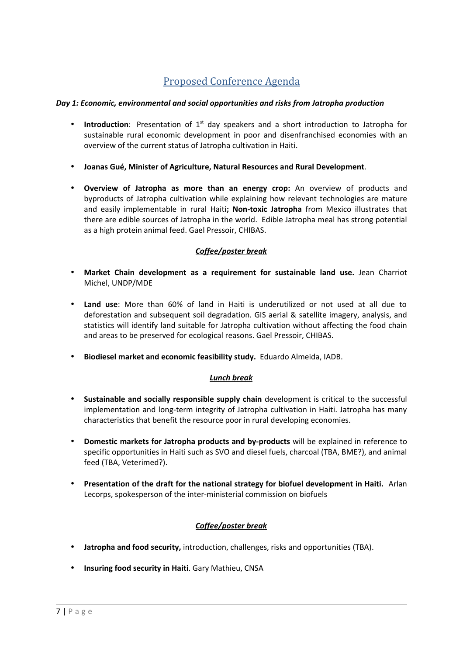## <span id="page-6-0"></span>Proposed Conference Agenda

#### *Day 1: Economic, environmental and social opportunities and risks from Jatropha production*

- Introduction: Presentation of 1<sup>st</sup> day speakers and a short introduction to Jatropha for sustainable rural economic development in poor and disenfranchised economies with an overview of the current status of Jatropha cultivation in Haiti.
- **Joanas Gué, Minister of Agriculture, Natural Resources and Rural Development**.
- **Overview of Jatropha as more than an energy crop:** An overview of products and byproducts of Jatropha cultivation while explaining how relevant technologies are mature and easily implementable in rural Haiti**; Non-toxic Jatropha** from Mexico illustrates that there are edible sources of Jatropha in the world. Edible Jatropha meal has strong potential as a high protein animal feed. Gael Pressoir, CHIBAS.

### *Coffee/poster break*

- **Market Chain development as a requirement for sustainable land use.** Jean Charriot Michel, UNDP/MDE
- **Land use**: More than 60% of land in Haiti is underutilized or not used at all due to deforestation and subsequent soil degradation. GIS aerial & satellite imagery, analysis, and statistics will identify land suitable for Jatropha cultivation without affecting the food chain and areas to be preserved for ecological reasons. Gael Pressoir, CHIBAS.
- **Biodiesel market and economic feasibility study.** Eduardo Almeida, IADB.

### *Lunch break*

- **Sustainable and socially responsible supply chain** development is critical to the successful implementation and long-term integrity of Jatropha cultivation in Haiti. Jatropha has many characteristics that benefit the resource poor in rural developing economies.
- **Domestic markets for Jatropha products and by-products** will be explained in reference to specific opportunities in Haiti such as SVO and diesel fuels, charcoal (TBA, BME?), and animal feed (TBA, Veterimed?).
- **Presentation of the draft for the national strategy for biofuel development in Haiti.** Arlan Lecorps, spokesperson of the inter-ministerial commission on biofuels

### *Coffee/poster break*

- **Jatropha and food security,** introduction, challenges, risks and opportunities (TBA).
- **Insuring food security in Haiti**. Gary Mathieu, CNSA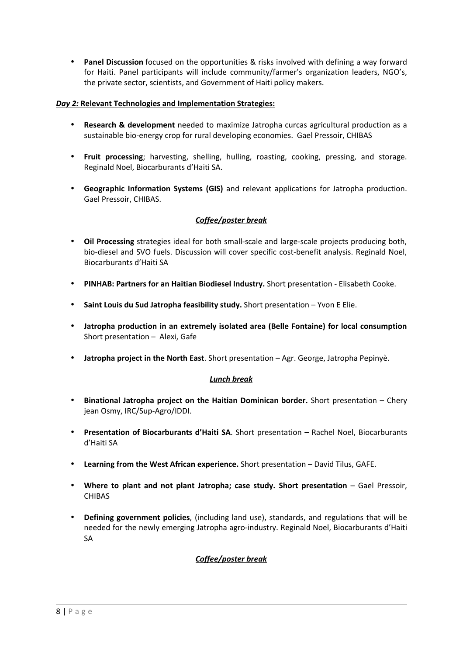• **Panel Discussion** focused on the opportunities & risks involved with defining a way forward for Haiti. Panel participants will include community/farmer's organization leaders, NGO's, the private sector, scientists, and Government of Haiti policy makers.

#### *<u>Day 2: Relevant Technologies and Implementation Strategies:*</u>

- **Research & development** needed to maximize Jatropha curcas agricultural production as a sustainable bio-energy crop for rural developing economies. Gael Pressoir, CHIBAS
- **Fruit processing**; harvesting, shelling, hulling, roasting, cooking, pressing, and storage. Reginald Noel, Biocarburants d'Haiti SA.
- **Geographic Information Systems (GIS)** and relevant applications for Jatropha production. Gael Pressoir, CHIBAS.

#### *Coffee/poster break*

- **Oil Processing** strategies ideal for both small-scale and large-scale projects producing both, bio-diesel and SVO fuels. Discussion will cover specific cost-benefit analysis. Reginald Noel, Biocarburants d'Haiti SA
- **PINHAB: Partners for an Haitian Biodiesel Industry.** Short presentation Elisabeth Cooke.
- **Saint Louis du Sud Jatropha feasibility study.** Short presentation Yvon E Elie.
- **Jatropha production in an extremely isolated area (Belle Fontaine) for local consumption** Short presentation – Alexi, Gafe
- **Jatropha project in the North East**. Short presentation Agr. George, Jatropha Pepinyè.

#### *Lunch break*

- **Binational Jatropha project on the Haitian Dominican border.** Short presentation Chery jean Osmy, IRC/Sup-Agro/IDDI.
- **Presentation of Biocarburants d'Haiti SA**. Short presentation Rachel Noel, Biocarburants d'Haiti SA
- **Learning from the West African experience.** Short presentation David Tilus, GAFE.
- **Where to plant and not plant Jatropha; case study. Short presentation** Gael Pressoir, CHIBAS
- **Defining government policies**, (including land use), standards, and regulations that will be needed for the newly emerging Jatropha agro-industry. Reginald Noel, Biocarburants d'Haiti SA

### *Coffee/poster break*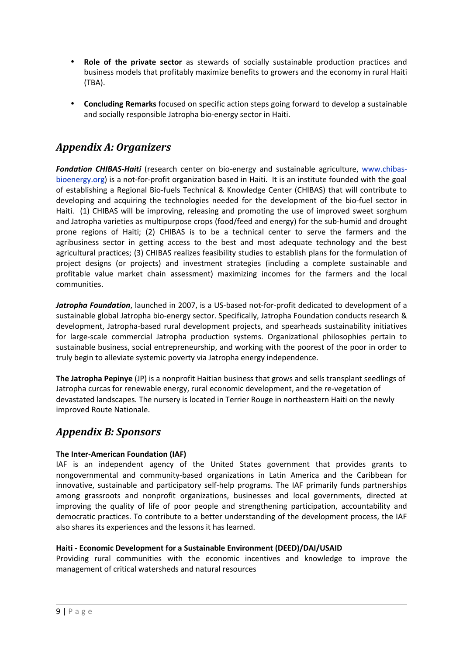- **Role of the private sector** as stewards of socially sustainable production practices and business models that profitably maximize benefits to growers and the economy in rural Haiti (TBA).
- **Concluding Remarks** focused on specific action steps going forward to develop a sustainable and socially responsible Jatropha bio-energy sector in Haiti.

## <span id="page-8-1"></span>*Appendix A: Organizers*

*Fondation CHIBAS-Haiti* (research center on bio-energy and sustainable agriculture, [www.chibas](http://www.chibas-bioenergy.org/)[bioenergy.org](http://www.chibas-bioenergy.org/)) is a not-for-profit organization based in Haiti. It is an institute founded with the goal of establishing a Regional Bio-fuels Technical & Knowledge Center (CHIBAS) that will contribute to developing and acquiring the technologies needed for the development of the bio-fuel sector in Haiti. (1) CHIBAS will be improving, releasing and promoting the use of improved sweet sorghum and Jatropha varieties as multipurpose crops (food/feed and energy) for the sub-humid and drought prone regions of Haiti; (2) CHIBAS is to be a technical center to serve the farmers and the agribusiness sector in getting access to the best and most adequate technology and the best agricultural practices; (3) CHIBAS realizes feasibility studies to establish plans for the formulation of project designs (or projects) and investment strategies (including a complete sustainable and profitable value market chain assessment) maximizing incomes for the farmers and the local communities.

*Jatropha Foundation*, launched in 2007, is a US-based not-for-profit dedicated to development of a sustainable global Jatropha bio-energy sector. Specifically, Jatropha Foundation conducts research & development, Jatropha-based rural development projects, and spearheads sustainability initiatives for large-scale commercial Jatropha production systems. Organizational philosophies pertain to sustainable business, social entrepreneurship, and working with the poorest of the poor in order to truly begin to alleviate systemic poverty via Jatropha energy independence.

**The Jatropha Pepinye** (JP) is a nonprofit Haitian business that grows and sells transplant seedlings of Jatropha curcas for renewable energy, rural economic development, and the re-vegetation of devastated landscapes. The nursery is located in Terrier Rouge in northeastern Haiti on the newly improved Route Nationale.

## <span id="page-8-0"></span>*Appendix B: Sponsors*

#### **The Inter-American Foundation (IAF)**

IAF is an independent agency of the United States government that provides grants to nongovernmental and community-based organizations in Latin America and the Caribbean for innovative, sustainable and participatory self-help programs. The IAF primarily funds partnerships among grassroots and nonprofit organizations, businesses and local governments, directed at improving the quality of life of poor people and strengthening participation, accountability and democratic practices. To contribute to a better understanding of the development process, the IAF also shares its experiences and the lessons it has learned.

#### **Haiti - Economic Development for a Sustainable Environment (DEED)/DAI/USAID**

Providing rural communities with the economic incentives and knowledge to improve the management of critical watersheds and natural resources